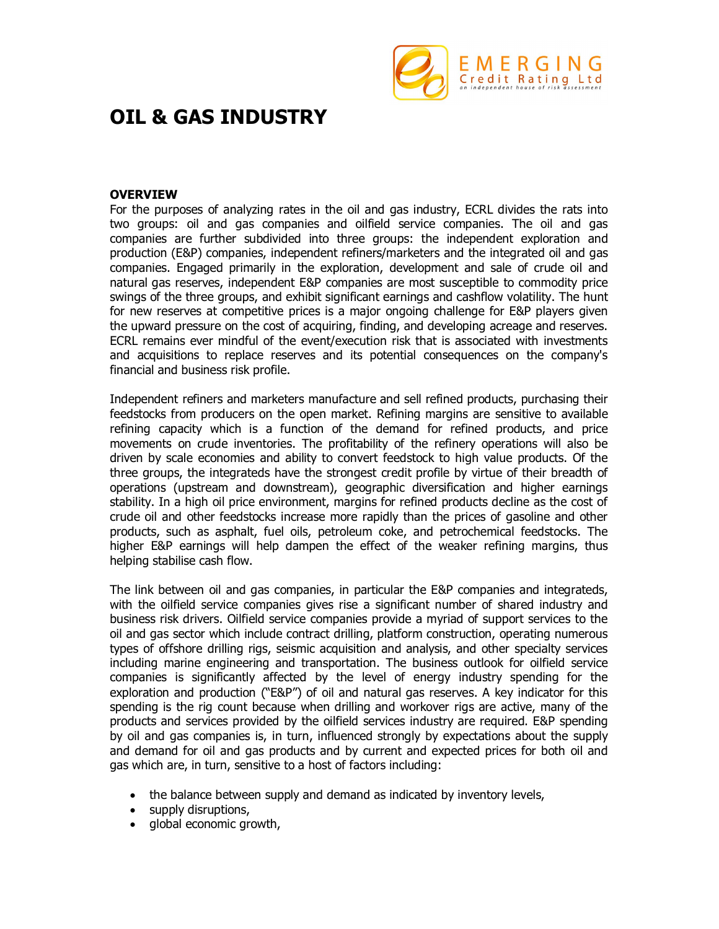

# **OIL & GAS INDUSTRY**

# **OVERVIEW**

For the purposes of analyzing rates in the oil and gas industry, ECRL divides the rats into two groups: oil and gas companies and oilfield service companies. The oil and gas companies are further subdivided into three groups: the independent exploration and production (E&P) companies, independent refiners/marketers and the integrated oil and gas companies. Engaged primarily in the exploration, development and sale of crude oil and natural gas reserves, independent E&P companies are most susceptible to commodity price swings of the three groups, and exhibit significant earnings and cashflow volatility. The hunt for new reserves at competitive prices is a major ongoing challenge for E&P players given the upward pressure on the cost of acquiring, finding, and developing acreage and reserves. ECRL remains ever mindful of the event/execution risk that is associated with investments and acquisitions to replace reserves and its potential consequences on the company's financial and business risk profile.

Independent refiners and marketers manufacture and sell refined products, purchasing their feedstocks from producers on the open market. Refining margins are sensitive to available refining capacity which is a function of the demand for refined products, and price movements on crude inventories. The profitability of the refinery operations will also be driven by scale economies and ability to convert feedstock to high value products. Of the three groups, the integrateds have the strongest credit profile by virtue of their breadth of operations (upstream and downstream), geographic diversification and higher earnings stability. In a high oil price environment, margins for refined products decline as the cost of crude oil and other feedstocks increase more rapidly than the prices of gasoline and other products, such as asphalt, fuel oils, petroleum coke, and petrochemical feedstocks. The higher E&P earnings will help dampen the effect of the weaker refining margins, thus helping stabilise cash flow.

The link between oil and gas companies, in particular the E&P companies and integrateds, with the oilfield service companies gives rise a significant number of shared industry and business risk drivers. Oilfield service companies provide a myriad of support services to the oil and gas sector which include contract drilling, platform construction, operating numerous types of offshore drilling rigs, seismic acquisition and analysis, and other specialty services including marine engineering and transportation. The business outlook for oilfield service companies is significantly affected by the level of energy industry spending for the exploration and production ("E&P") of oil and natural gas reserves. A key indicator for this spending is the rig count because when drilling and workover rigs are active, many of the products and services provided by the oilfield services industry are required. E&P spending by oil and gas companies is, in turn, influenced strongly by expectations about the supply and demand for oil and gas products and by current and expected prices for both oil and gas which are, in turn, sensitive to a host of factors including:

- the balance between supply and demand as indicated by inventory levels,
- supply disruptions,
- global economic growth,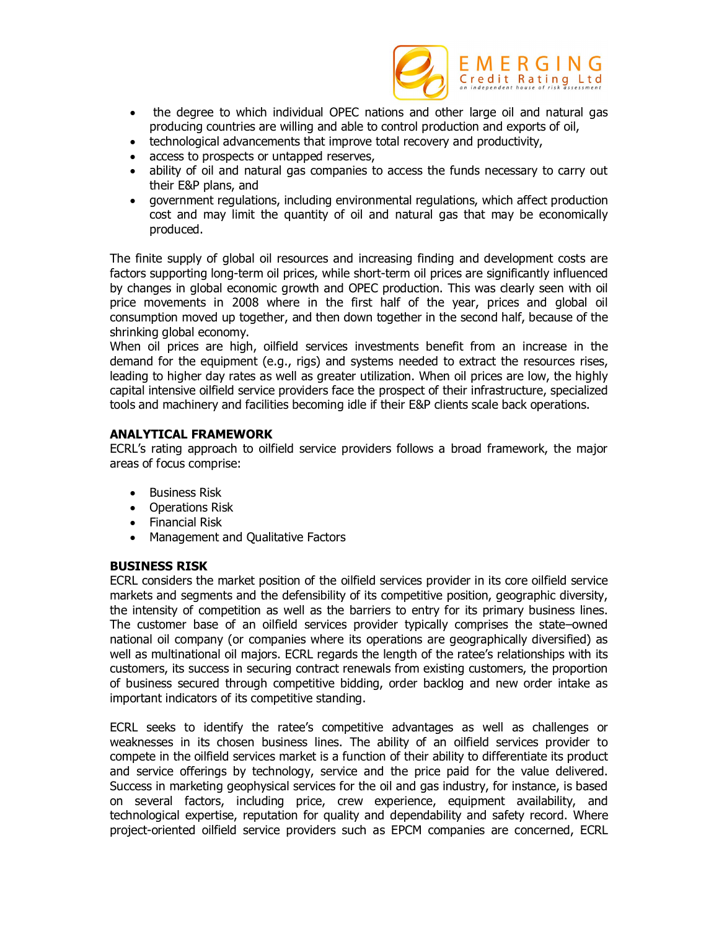

- the degree to which individual OPEC nations and other large oil and natural gas producing countries are willing and able to control production and exports of oil,
- technological advancements that improve total recovery and productivity,
- access to prospects or untapped reserves,
- ability of oil and natural gas companies to access the funds necessary to carry out their E&P plans, and
- government regulations, including environmental regulations, which affect production cost and may limit the quantity of oil and natural gas that may be economically produced.

The finite supply of global oil resources and increasing finding and development costs are factors supporting long-term oil prices, while short-term oil prices are significantly influenced by changes in global economic growth and OPEC production. This was clearly seen with oil price movements in 2008 where in the first half of the year, prices and global oil consumption moved up together, and then down together in the second half, because of the shrinking global economy.

When oil prices are high, oilfield services investments benefit from an increase in the demand for the equipment (e.g., rigs) and systems needed to extract the resources rises, leading to higher day rates as well as greater utilization. When oil prices are low, the highly capital intensive oilfield service providers face the prospect of their infrastructure, specialized tools and machinery and facilities becoming idle if their E&P clients scale back operations.

# **ANALYTICAL FRAMEWORK**

ECRL's rating approach to oilfield service providers follows a broad framework, the major areas of focus comprise:

- Business Risk
- Operations Risk
- Financial Risk
- Management and Qualitative Factors

# **BUSINESS RISK**

ECRL considers the market position of the oilfield services provider in its core oilfield service markets and segments and the defensibility of its competitive position, geographic diversity, the intensity of competition as well as the barriers to entry for its primary business lines. The customer base of an oilfield services provider typically comprises the state–owned national oil company (or companies where its operations are geographically diversified) as well as multinational oil majors. ECRL regards the length of the ratee's relationships with its customers, its success in securing contract renewals from existing customers, the proportion of business secured through competitive bidding, order backlog and new order intake as important indicators of its competitive standing.

ECRL seeks to identify the ratee's competitive advantages as well as challenges or weaknesses in its chosen business lines. The ability of an oilfield services provider to compete in the oilfield services market is a function of their ability to differentiate its product and service offerings by technology, service and the price paid for the value delivered. Success in marketing geophysical services for the oil and gas industry, for instance, is based on several factors, including price, crew experience, equipment availability, and technological expertise, reputation for quality and dependability and safety record. Where project-oriented oilfield service providers such as EPCM companies are concerned, ECRL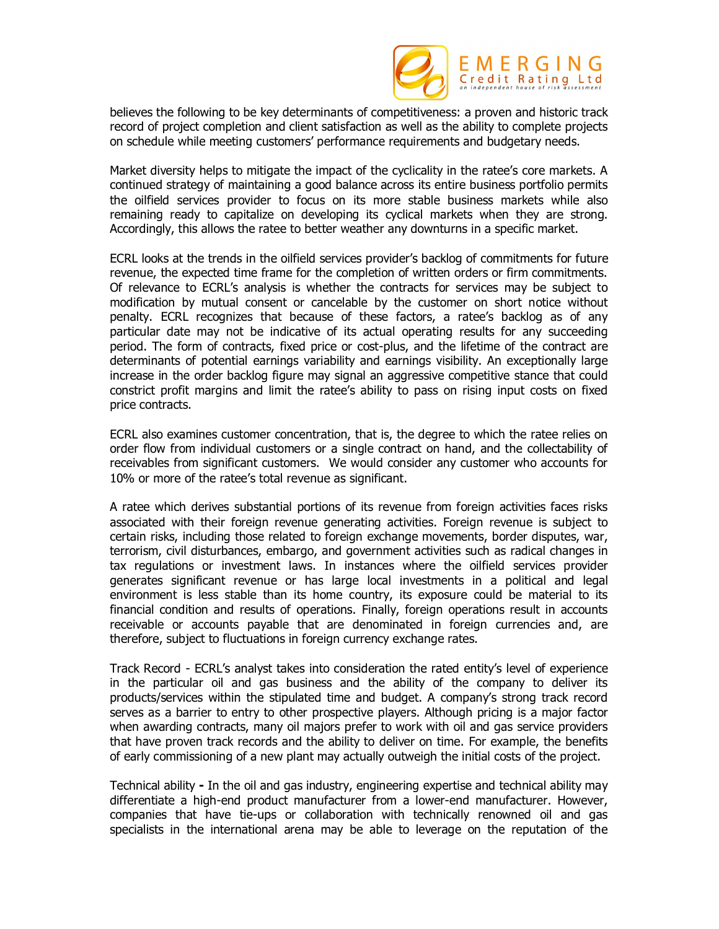

believes the following to be key determinants of competitiveness: a proven and historic track record of project completion and client satisfaction as well as the ability to complete projects on schedule while meeting customers' performance requirements and budgetary needs.

Market diversity helps to mitigate the impact of the cyclicality in the ratee's core markets. A continued strategy of maintaining a good balance across its entire business portfolio permits the oilfield services provider to focus on its more stable business markets while also remaining ready to capitalize on developing its cyclical markets when they are strong. Accordingly, this allows the ratee to better weather any downturns in a specific market.

ECRL looks at the trends in the oilfield services provider's backlog of commitments for future revenue, the expected time frame for the completion of written orders or firm commitments. Of relevance to ECRL's analysis is whether the contracts for services may be subject to modification by mutual consent or cancelable by the customer on short notice without penalty. ECRL recognizes that because of these factors, a ratee's backlog as of any particular date may not be indicative of its actual operating results for any succeeding period. The form of contracts, fixed price or cost-plus, and the lifetime of the contract are determinants of potential earnings variability and earnings visibility. An exceptionally large increase in the order backlog figure may signal an aggressive competitive stance that could constrict profit margins and limit the ratee's ability to pass on rising input costs on fixed price contracts.

ECRL also examines customer concentration, that is, the degree to which the ratee relies on order flow from individual customers or a single contract on hand, and the collectability of receivables from significant customers. We would consider any customer who accounts for 10% or more of the ratee's total revenue as significant.

A ratee which derives substantial portions of its revenue from foreign activities faces risks associated with their foreign revenue generating activities. Foreign revenue is subject to certain risks, including those related to foreign exchange movements, border disputes, war, terrorism, civil disturbances, embargo, and government activities such as radical changes in tax regulations or investment laws. In instances where the oilfield services provider generates significant revenue or has large local investments in a political and legal environment is less stable than its home country, its exposure could be material to its financial condition and results of operations. Finally, foreign operations result in accounts receivable or accounts payable that are denominated in foreign currencies and, are therefore, subject to fluctuations in foreign currency exchange rates.

Track Record - ECRL's analyst takes into consideration the rated entity's level of experience in the particular oil and gas business and the ability of the company to deliver its products/services within the stipulated time and budget. A company's strong track record serves as a barrier to entry to other prospective players. Although pricing is a major factor when awarding contracts, many oil majors prefer to work with oil and gas service providers that have proven track records and the ability to deliver on time. For example, the benefits of early commissioning of a new plant may actually outweigh the initial costs of the project.

Technical ability **-** In the oil and gas industry, engineering expertise and technical ability may differentiate a high-end product manufacturer from a lower-end manufacturer. However, companies that have tie-ups or collaboration with technically renowned oil and gas specialists in the international arena may be able to leverage on the reputation of the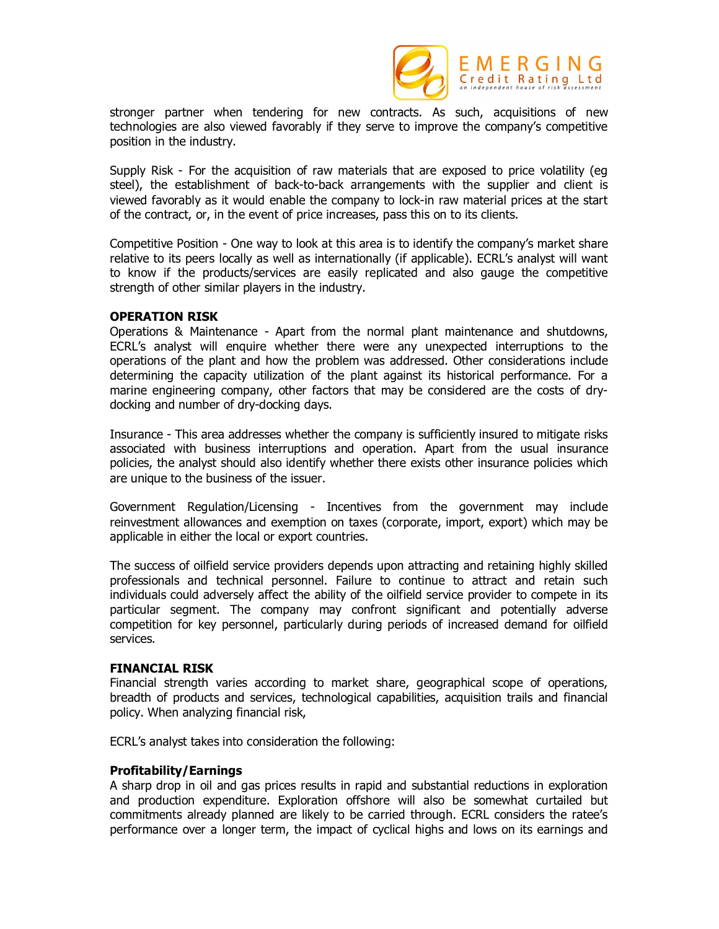

stronger partner when tendering for new contracts. As such, acquisitions of new technologies are also viewed favorably if they serve to improve the company's competitive position in the industry.

Supply Risk - For the acquisition of raw materials that are exposed to price volatility (eg steel), the establishment of back-to-back arrangements with the supplier and client is viewed favorably as it would enable the company to lock-in raw material prices at the start of the contract, or, in the event of price increases, pass this on to its clients.

Competitive Position - One way to look at this area is to identify the company's market share relative to its peers locally as well as internationally (if applicable). ECRL's analyst will want to know if the products/services are easily replicated and also gauge the competitive strength of other similar players in the industry.

#### **OPERATION RISK**

Operations & Maintenance - Apart from the normal plant maintenance and shutdowns, ECRL's analyst will enquire whether there were any unexpected interruptions to the operations of the plant and how the problem was addressed. Other considerations include determining the capacity utilization of the plant against its historical performance. For a marine engineering company, other factors that may be considered are the costs of drydocking and number of dry-docking days.

Insurance - This area addresses whether the company is sufficiently insured to mitigate risks associated with business interruptions and operation. Apart from the usual insurance policies, the analyst should also identify whether there exists other insurance policies which are unique to the business of the issuer.

Government Regulation/Licensing - Incentives from the government may include reinvestment allowances and exemption on taxes (corporate, import, export) which may be applicable in either the local or export countries.

The success of oilfield service providers depends upon attracting and retaining highly skilled professionals and technical personnel. Failure to continue to attract and retain such individuals could adversely affect the ability of the oilfield service provider to compete in its particular segment. The company may confront significant and potentially adverse competition for key personnel, particularly during periods of increased demand for oilfield services.

#### **FINANCIAL RISK**

Financial strength varies according to market share, geographical scope of operations, breadth of products and services, technological capabilities, acquisition trails and financial policy. When analyzing financial risk,

ECRL's analyst takes into consideration the following:

# **Profitability/Earnings**

A sharp drop in oil and gas prices results in rapid and substantial reductions in exploration and production expenditure. Exploration offshore will also be somewhat curtailed but commitments already planned are likely to be carried through. ECRL considers the ratee's performance over a longer term, the impact of cyclical highs and lows on its earnings and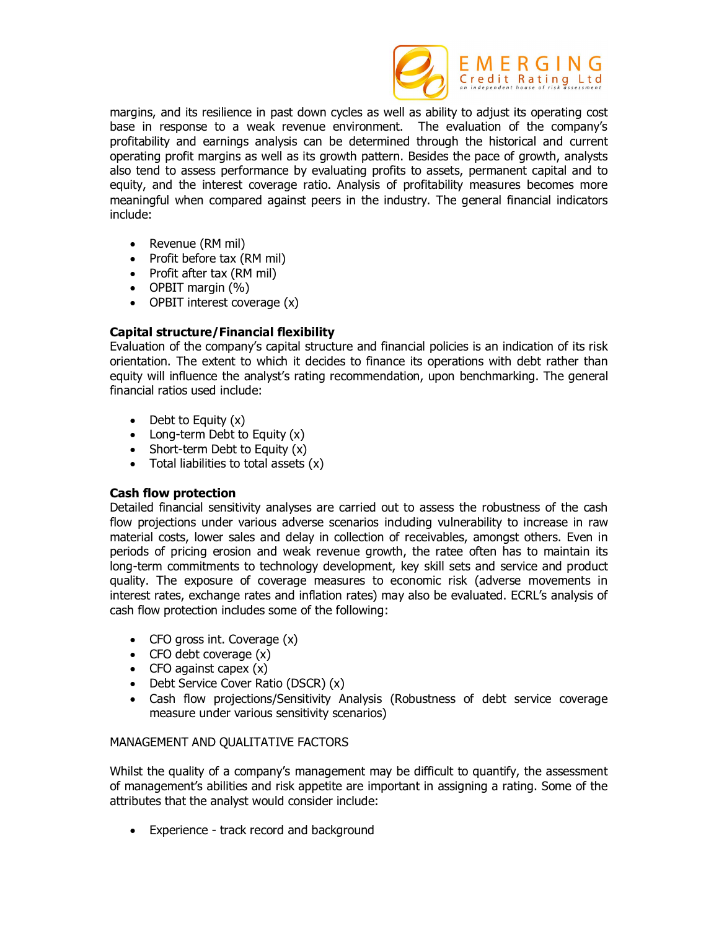

margins, and its resilience in past down cycles as well as ability to adjust its operating cost base in response to a weak revenue environment. The evaluation of the company's profitability and earnings analysis can be determined through the historical and current operating profit margins as well as its growth pattern. Besides the pace of growth, analysts also tend to assess performance by evaluating profits to assets, permanent capital and to equity, and the interest coverage ratio. Analysis of profitability measures becomes more meaningful when compared against peers in the industry. The general financial indicators include:

- Revenue (RM mil)
- Profit before tax (RM mil)
- Profit after tax (RM mil)
- $\bullet$  OPBIT margin  $(\% )$
- OPBIT interest coverage (x)

# **Capital structure/Financial flexibility**

Evaluation of the company's capital structure and financial policies is an indication of its risk orientation. The extent to which it decides to finance its operations with debt rather than equity will influence the analyst's rating recommendation, upon benchmarking. The general financial ratios used include:

- $\bullet$  Debt to Equity  $(x)$
- $\bullet$  Long-term Debt to Equity  $(x)$
- Short-term Debt to Equity (x)
- $\bullet$  Total liabilities to total assets  $(x)$

# **Cash flow protection**

Detailed financial sensitivity analyses are carried out to assess the robustness of the cash flow projections under various adverse scenarios including vulnerability to increase in raw material costs, lower sales and delay in collection of receivables, amongst others. Even in periods of pricing erosion and weak revenue growth, the ratee often has to maintain its long-term commitments to technology development, key skill sets and service and product quality. The exposure of coverage measures to economic risk (adverse movements in interest rates, exchange rates and inflation rates) may also be evaluated. ECRL's analysis of cash flow protection includes some of the following:

- $\bullet$  CFO gross int. Coverage  $(x)$
- $\bullet$  CFO debt coverage  $(x)$
- CFO against capex  $(x)$
- Debt Service Cover Ratio (DSCR) (x)
- Cash flow projections/Sensitivity Analysis (Robustness of debt service coverage measure under various sensitivity scenarios)

# MANAGEMENT AND QUALITATIVE FACTORS

Whilst the quality of a company's management may be difficult to quantify, the assessment of management's abilities and risk appetite are important in assigning a rating. Some of the attributes that the analyst would consider include:

• Experience - track record and background